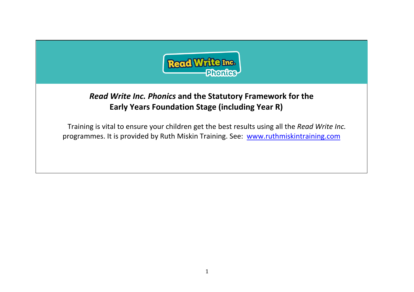

## *Read Write Inc. Phonics* **and the Statutory Framework for the Early Years Foundation Stage (including Year R)**

Training is vital to ensure your children get the best results using all the *Read Write Inc.* programmes. It is provided by Ruth Miskin Training. See: [www.ruthmiskintraining.com](http://www.ruthmiskintraining.com/)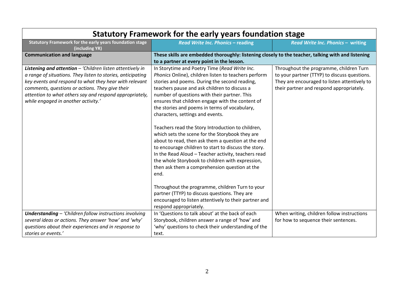| <u>Jialului y Fianicwuin iui liic cariy ycais iuunualiun slage</u>                                                                                                                                                                                                                                                                      |                                                                                                                                                                                                                                                                                                                                                                                                                                                                                                                                                                                                                                                                                                                                                                                                                                                                                                                                                        |                                                                                                                                                                                     |  |
|-----------------------------------------------------------------------------------------------------------------------------------------------------------------------------------------------------------------------------------------------------------------------------------------------------------------------------------------|--------------------------------------------------------------------------------------------------------------------------------------------------------------------------------------------------------------------------------------------------------------------------------------------------------------------------------------------------------------------------------------------------------------------------------------------------------------------------------------------------------------------------------------------------------------------------------------------------------------------------------------------------------------------------------------------------------------------------------------------------------------------------------------------------------------------------------------------------------------------------------------------------------------------------------------------------------|-------------------------------------------------------------------------------------------------------------------------------------------------------------------------------------|--|
| <b>Statutory Framework for the early years foundation stage</b><br>(including YR)                                                                                                                                                                                                                                                       | Read Write Inc. Phonics - reading                                                                                                                                                                                                                                                                                                                                                                                                                                                                                                                                                                                                                                                                                                                                                                                                                                                                                                                      | Read Write Inc. Phonics - writing                                                                                                                                                   |  |
| <b>Communication and language</b>                                                                                                                                                                                                                                                                                                       | These skills are embedded thoroughly: listening closely to the teacher, talking with and listening                                                                                                                                                                                                                                                                                                                                                                                                                                                                                                                                                                                                                                                                                                                                                                                                                                                     |                                                                                                                                                                                     |  |
|                                                                                                                                                                                                                                                                                                                                         | to a partner at every point in the lesson.                                                                                                                                                                                                                                                                                                                                                                                                                                                                                                                                                                                                                                                                                                                                                                                                                                                                                                             |                                                                                                                                                                                     |  |
| Listening and attention - 'Children listen attentively in<br>a range of situations. They listen to stories, anticipating<br>key events and respond to what they hear with relevant<br>comments, questions or actions. They give their<br>attention to what others say and respond appropriately,<br>while engaged in another activity.' | In Storytime and Poetry Time (Read Write Inc.<br>Phonics Online), children listen to teachers perform<br>stories and poems. During the second reading,<br>teachers pause and ask children to discuss a<br>number of questions with their partner. This<br>ensures that children engage with the content of<br>the stories and poems in terms of vocabulary,<br>characters, settings and events.<br>Teachers read the Story Introduction to children,<br>which sets the scene for the Storybook they are<br>about to read, then ask them a question at the end<br>to encourage children to start to discuss the story.<br>In the Read Aloud - Teacher activity, teachers read<br>the whole Storybook to children with expression,<br>then ask them a comprehension question at the<br>end.<br>Throughout the programme, children Turn to your<br>partner (TTYP) to discuss questions. They are<br>encouraged to listen attentively to their partner and | Throughout the programme, children Turn<br>to your partner (TTYP) to discuss questions.<br>They are encouraged to listen attentively to<br>their partner and respond appropriately. |  |
| <b>Understanding - 'Children follow instructions involving</b><br>several ideas or actions. They answer 'how' and 'why'<br>questions about their experiences and in response to<br>stories or events.'                                                                                                                                  | respond appropriately.<br>In 'Questions to talk about' at the back of each<br>Storybook, children answer a range of 'how' and<br>'why' questions to check their understanding of the<br>text.                                                                                                                                                                                                                                                                                                                                                                                                                                                                                                                                                                                                                                                                                                                                                          | When writing, children follow instructions<br>for how to sequence their sentences.                                                                                                  |  |

## **Statutory Framework for the early years foundation stage**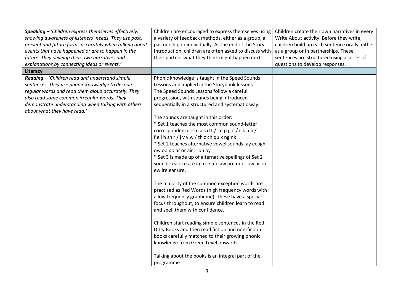| Speaking - 'Children express themselves effectively,   | Children are encouraged to express themselves using    | Children create their own narratives in every  |
|--------------------------------------------------------|--------------------------------------------------------|------------------------------------------------|
| showing awareness of listeners' needs. They use past,  | a variety of feedback methods, either as a group, a    | Write About activity. Before they write,       |
| present and future forms accurately when talking about | partnership or individually. At the end of the Story   | children build up each sentence orally, either |
| events that have happened or are to happen in the      | Introduction, children are often asked to discuss with | as a group or in partnerships. These           |
| future. They develop their own narratives and          | their partner what they think might happen next.       | sentences are structured using a series of     |
| explanations by connecting ideas or events.'           |                                                        | questions to develop responses.                |
| Literacy                                               |                                                        |                                                |
| Reading - 'Children read and understand simple         | Phonic knowledge is taught in the Speed Sounds         |                                                |
| sentences. They use phonic knowledge to decode         | Lessons and applied in the Storybook lessons.          |                                                |
| regular words and read them aloud accurately. They     | The Speed Sounds Lessons follow a careful              |                                                |
| also read some common irregular words. They            | progression, with sounds being introduced              |                                                |
| demonstrate understanding when talking with others     | sequentially in a structured and systematic way.       |                                                |
| about what they have read.'                            |                                                        |                                                |
|                                                        | The sounds are taught in this order:                   |                                                |
|                                                        | * Set 1 teaches the most common sound-letter           |                                                |
|                                                        | correspondences: m a s d t / i n p g o / c k u b /     |                                                |
|                                                        | felhshr/jvyw/thzchquxngnk                              |                                                |
|                                                        | * Set 2 teaches alternative vowel sounds: ay ee igh    |                                                |
|                                                        | ow oo oo ar or air ir ou oy                            |                                                |
|                                                        | * Set 3 is made up of alternative spellings of Set 2   |                                                |
|                                                        | sounds: ea oi e a-e i-e o-e u-e aw are ur er ow ai oa  |                                                |
|                                                        | ew ire ear ure.                                        |                                                |
|                                                        |                                                        |                                                |
|                                                        | The majority of the common exception words are         |                                                |
|                                                        | practised as Red Words (high frequency words with      |                                                |
|                                                        | a low frequency grapheme). These have a special        |                                                |
|                                                        | focus throughout, to ensure children learn to read     |                                                |
|                                                        | and spell them with confidence.                        |                                                |
|                                                        |                                                        |                                                |
|                                                        | Children start reading simple sentences in the Red     |                                                |
|                                                        | Ditty Books and then read fiction and non-fiction      |                                                |
|                                                        | books carefully matched to their growing phonic        |                                                |
|                                                        | knowledge from Green Level onwards.                    |                                                |
|                                                        |                                                        |                                                |
|                                                        | Talking about the books is an integral part of the     |                                                |
|                                                        | programme.                                             |                                                |